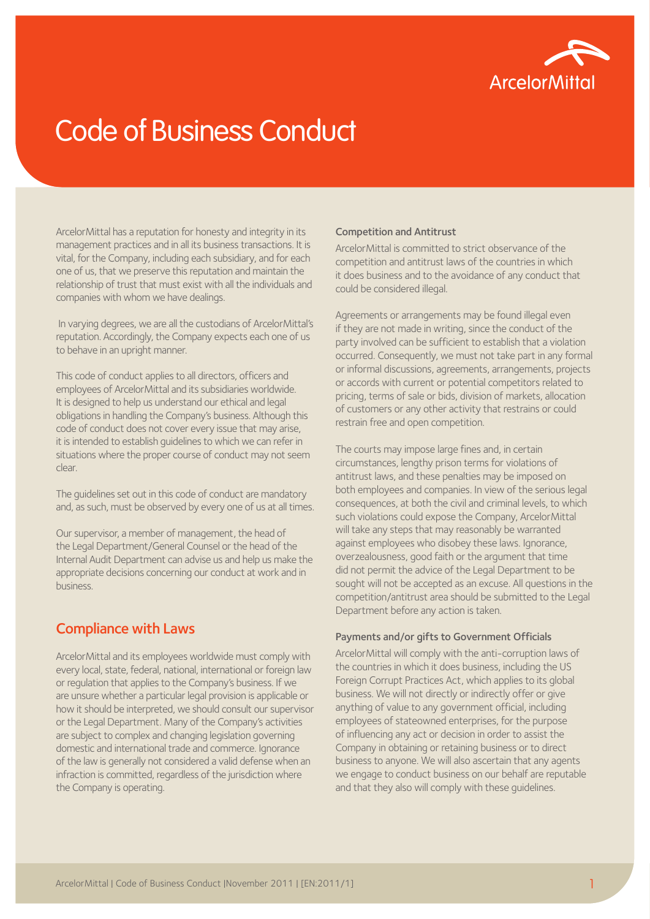

# Code of Business Conduct

ArcelorMittal has a reputation for honesty and integrity in its management practices and in all its business transactions. It is vital, for the Company, including each subsidiary, and for each one of us, that we preserve this reputation and maintain the relationship of trust that must exist with all the individuals and companies with whom we have dealings.

 In varying degrees, we are all the custodians of ArcelorMittal's reputation. Accordingly, the Company expects each one of us to behave in an upright manner.

This code of conduct applies to all directors, officers and employees of ArcelorMittal and its subsidiaries worldwide. It is designed to help us understand our ethical and legal obligations in handling the Company's business. Although this code of conduct does not cover every issue that may arise, it is intended to establish guidelines to which we can refer in situations where the proper course of conduct may not seem clear.

The guidelines set out in this code of conduct are mandatory and, as such, must be observed by every one of us at all times.

Our supervisor, a member of management, the head of the Legal Department/General Counsel or the head of the Internal Audit Department can advise us and help us make the appropriate decisions concerning our conduct at work and in business.

# Compliance with Laws

ArcelorMittal and its employees worldwide must comply with every local, state, federal, national, international or foreign law or regulation that applies to the Company's business. If we are unsure whether a particular legal provision is applicable or how it should be interpreted, we should consult our supervisor or the Legal Department. Many of the Company's activities are subject to complex and changing legislation governing domestic and international trade and commerce. Ignorance of the law is generally not considered a valid defense when an infraction is committed, regardless of the jurisdiction where the Company is operating.

## Competition and Antitrust

ArcelorMittal is committed to strict observance of the competition and antitrust laws of the countries in which it does business and to the avoidance of any conduct that could be considered illegal.

Agreements or arrangements may be found illegal even if they are not made in writing, since the conduct of the party involved can be sufficient to establish that a violation occurred. Consequently, we must not take part in any formal or informal discussions, agreements, arrangements, projects or accords with current or potential competitors related to pricing, terms of sale or bids, division of markets, allocation of customers or any other activity that restrains or could restrain free and open competition.

The courts may impose large fines and, in certain circumstances, lengthy prison terms for violations of antitrust laws, and these penalties may be imposed on both employees and companies. In view of the serious legal consequences, at both the civil and criminal levels, to which such violations could expose the Company, ArcelorMittal will take any steps that may reasonably be warranted against employees who disobey these laws. Ignorance, overzealousness, good faith or the argument that time did not permit the advice of the Legal Department to be sought will not be accepted as an excuse. All questions in the competition/antitrust area should be submitted to the Legal Department before any action is taken.

## Payments and/or gifts to Government Officials

ArcelorMittal will comply with the anti-corruption laws of the countries in which it does business, including the US Foreign Corrupt Practices Act, which applies to its global business. We will not directly or indirectly offer or give anything of value to any government official, including employees of stateowned enterprises, for the purpose of influencing any act or decision in order to assist the Company in obtaining or retaining business or to direct business to anyone. We will also ascertain that any agents we engage to conduct business on our behalf are reputable and that they also will comply with these guidelines.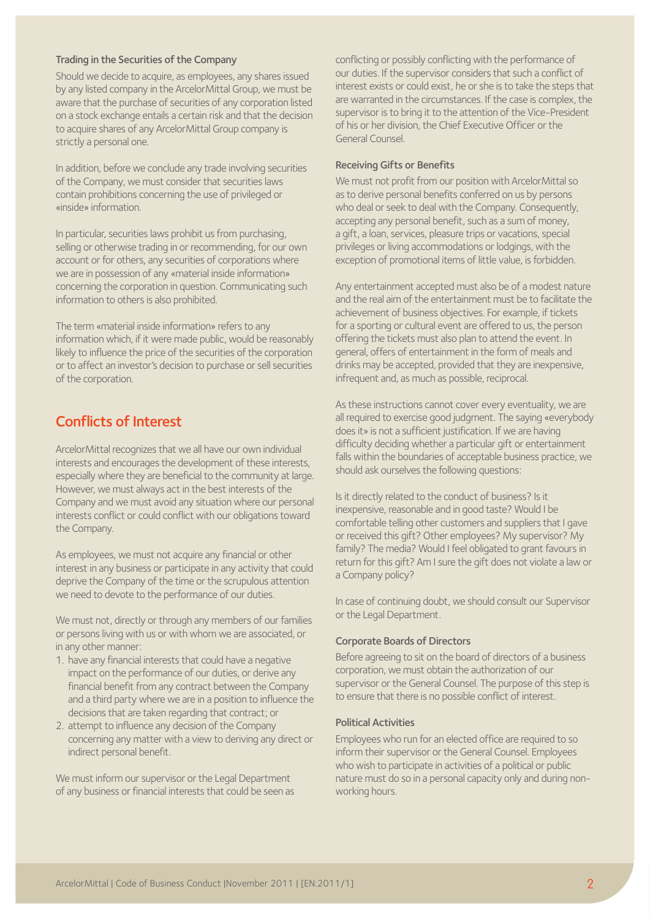#### Trading in the Securities of the Company

Should we decide to acquire, as employees, any shares issued by any listed company in the ArcelorMittal Group, we must be aware that the purchase of securities of any corporation listed on a stock exchange entails a certain risk and that the decision to acquire shares of any ArcelorMittal Group company is strictly a personal one.

In addition, before we conclude any trade involving securities of the Company, we must consider that securities laws contain prohibitions concerning the use of privileged or «inside» information.

In particular, securities laws prohibit us from purchasing, selling or otherwise trading in or recommending, for our own account or for others, any securities of corporations where we are in possession of any «material inside information» concerning the corporation in question. Communicating such information to others is also prohibited.

The term «material inside information» refers to any information which, if it were made public, would be reasonably likely to influence the price of the securities of the corporation or to affect an investor's decision to purchase or sell securities of the corporation.

# Conflicts of Interest

ArcelorMittal recognizes that we all have our own individual interests and encourages the development of these interests, especially where they are beneficial to the community at large. However, we must always act in the best interests of the Company and we must avoid any situation where our personal interests conflict or could conflict with our obligations toward the Company.

As employees, we must not acquire any financial or other interest in any business or participate in any activity that could deprive the Company of the time or the scrupulous attention we need to devote to the performance of our duties.

We must not, directly or through any members of our families or persons living with us or with whom we are associated, or in any other manner:

- 1. have any financial interests that could have a negative impact on the performance of our duties, or derive any financial benefit from any contract between the Company and a third party where we are in a position to influence the decisions that are taken regarding that contract; or
- 2. attempt to influence any decision of the Company concerning any matter with a view to deriving any direct or indirect personal benefit.

We must inform our supervisor or the Legal Department of any business or financial interests that could be seen as conflicting or possibly conflicting with the performance of our duties. If the supervisor considers that such a conflict of interest exists or could exist, he or she is to take the steps that are warranted in the circumstances. If the case is complex, the supervisor is to bring it to the attention of the Vice-President of his or her division, the Chief Executive Officer or the General Counsel.

## Receiving Gifts or Benefits

We must not profit from our position with ArcelorMittal so as to derive personal benefits conferred on us by persons who deal or seek to deal with the Company. Consequently, accepting any personal benefit, such as a sum of money, a gift, a loan, services, pleasure trips or vacations, special privileges or living accommodations or lodgings, with the exception of promotional items of little value, is forbidden.

Any entertainment accepted must also be of a modest nature and the real aim of the entertainment must be to facilitate the achievement of business objectives. For example, if tickets for a sporting or cultural event are offered to us, the person offering the tickets must also plan to attend the event. In general, offers of entertainment in the form of meals and drinks may be accepted, provided that they are inexpensive, infrequent and, as much as possible, reciprocal.

As these instructions cannot cover every eventuality, we are all required to exercise good judgment. The saying «everybody does it» is not a sufficient justification. If we are having difficulty deciding whether a particular gift or entertainment falls within the boundaries of acceptable business practice, we should ask ourselves the following questions:

Is it directly related to the conduct of business? Is it inexpensive, reasonable and in good taste? Would I be comfortable telling other customers and suppliers that I gave or received this gift? Other employees? My supervisor? My family? The media? Would I feel obligated to grant favours in return for this gift? Am I sure the gift does not violate a law or a Company policy?

In case of continuing doubt, we should consult our Supervisor or the Legal Department.

# Corporate Boards of Directors

Before agreeing to sit on the board of directors of a business corporation, we must obtain the authorization of our supervisor or the General Counsel. The purpose of this step is to ensure that there is no possible conflict of interest.

#### Political Activities

Employees who run for an elected office are required to so inform their supervisor or the General Counsel. Employees who wish to participate in activities of a political or public nature must do so in a personal capacity only and during nonworking hours.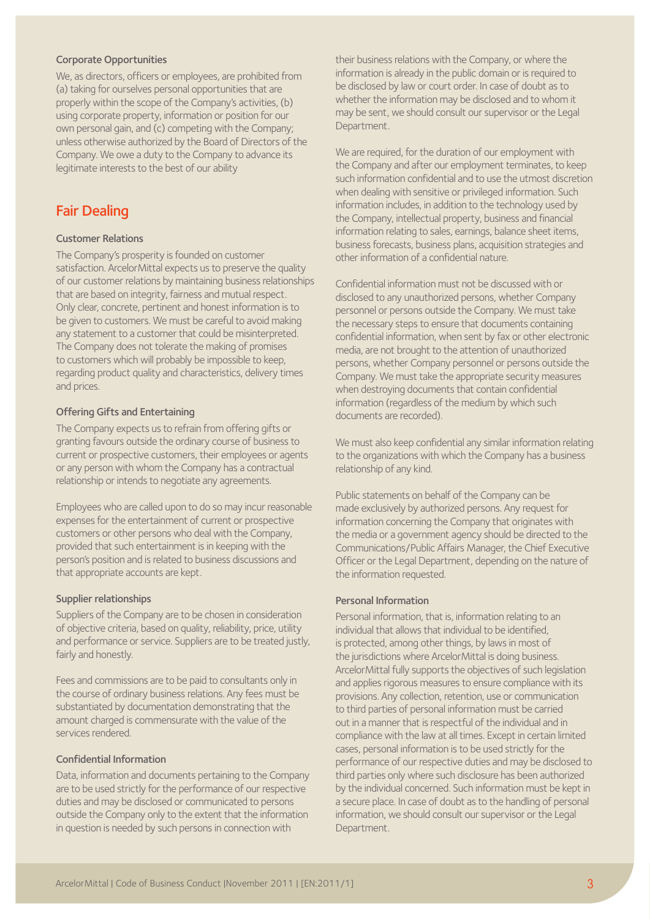## Corporate Opportunities

We, as directors, officers or employees, are prohibited from (a) taking for ourselves personal opportunities that are properly within the scope of the Company's activities, (b) using corporate property, information or position for our own personal gain, and (c) competing with the Company; unless otherwise authorized by the Board of Directors of the Company. We owe a duty to the Company to advance its legitimate interests to the best of our ability

# Fair Dealing

## Customer Relations

The Company's prosperity is founded on customer satisfaction. ArcelorMittal expects us to preserve the quality of our customer relations by maintaining business relationships that are based on integrity, fairness and mutual respect. Only clear, concrete, pertinent and honest information is to be given to customers. We must be careful to avoid making any statement to a customer that could be misinterpreted. The Company does not tolerate the making of promises to customers which will probably be impossible to keep, regarding product quality and characteristics, delivery times and prices.

## Offering Gifts and Entertaining

The Company expects us to refrain from offering gifts or granting favours outside the ordinary course of business to current or prospective customers, their employees or agents or any person with whom the Company has a contractual relationship or intends to negotiate any agreements.

Employees who are called upon to do so may incur reasonable expenses for the entertainment of current or prospective customers or other persons who deal with the Company, provided that such entertainment is in keeping with the person's position and is related to business discussions and that appropriate accounts are kept.

## Supplier relationships

Suppliers of the Company are to be chosen in consideration of objective criteria, based on quality, reliability, price, utility and performance or service. Suppliers are to be treated justly, fairly and honestly.

Fees and commissions are to be paid to consultants only in the course of ordinary business relations. Any fees must be substantiated by documentation demonstrating that the amount charged is commensurate with the value of the services rendered.

# Confidential Information

Data, information and documents pertaining to the Company are to be used strictly for the performance of our respective duties and may be disclosed or communicated to persons outside the Company only to the extent that the information in question is needed by such persons in connection with

their business relations with the Company, or where the information is already in the public domain or is required to be disclosed by law or court order. In case of doubt as to whether the information may be disclosed and to whom it may be sent, we should consult our supervisor or the Legal Department.

We are required, for the duration of our employment with the Company and after our employment terminates, to keep such information confidential and to use the utmost discretion when dealing with sensitive or privileged information. Such information includes, in addition to the technology used by the Company, intellectual property, business and financial information relating to sales, earnings, balance sheet items, business forecasts, business plans, acquisition strategies and other information of a confidential nature.

Confidential information must not be discussed with or disclosed to any unauthorized persons, whether Company personnel or persons outside the Company. We must take the necessary steps to ensure that documents containing confidential information, when sent by fax or other electronic media, are not brought to the attention of unauthorized persons, whether Company personnel or persons outside the Company. We must take the appropriate security measures when destroying documents that contain confidential information (regardless of the medium by which such documents are recorded).

We must also keep confidential any similar information relating to the organizations with which the Company has a business relationship of any kind.

Public statements on behalf of the Company can be made exclusively by authorized persons. Any request for information concerning the Company that originates with the media or a government agency should be directed to the Communications/Public Affairs Manager, the Chief Executive Officer or the Legal Department, depending on the nature of the information requested.

## Personal Information

Personal information, that is, information relating to an individual that allows that individual to be identified, is protected, among other things, by laws in most of the jurisdictions where ArcelorMittal is doing business. ArcelorMittal fully supports the objectives of such legislation and applies rigorous measures to ensure compliance with its provisions. Any collection, retention, use or communication to third parties of personal information must be carried out in a manner that is respectful of the individual and in compliance with the law at all times. Except in certain limited cases, personal information is to be used strictly for the performance of our respective duties and may be disclosed to third parties only where such disclosure has been authorized by the individual concerned. Such information must be kept in a secure place. In case of doubt as to the handling of personal information, we should consult our supervisor or the Legal Department.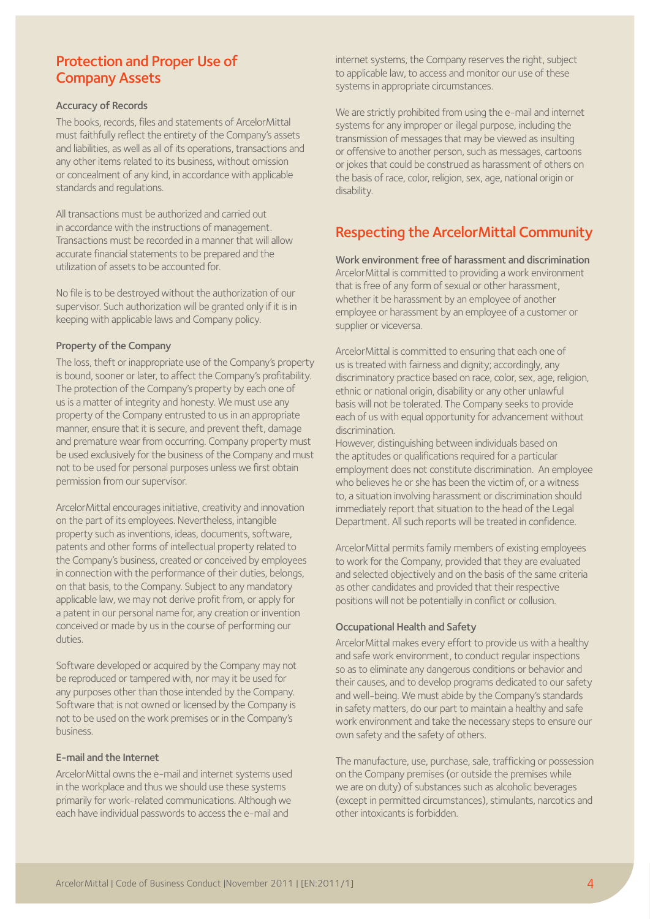# Protection and Proper Use of Company Assets

## Accuracy of Records

The books, records, files and statements of ArcelorMittal must faithfully reflect the entirety of the Company's assets and liabilities, as well as all of its operations, transactions and any other items related to its business, without omission or concealment of any kind, in accordance with applicable standards and regulations.

All transactions must be authorized and carried out in accordance with the instructions of management. Transactions must be recorded in a manner that will allow accurate financial statements to be prepared and the utilization of assets to be accounted for.

No file is to be destroyed without the authorization of our supervisor. Such authorization will be granted only if it is in keeping with applicable laws and Company policy.

## Property of the Company

The loss, theft or inappropriate use of the Company's property is bound, sooner or later, to affect the Company's profitability. The protection of the Company's property by each one of us is a matter of integrity and honesty. We must use any property of the Company entrusted to us in an appropriate manner, ensure that it is secure, and prevent theft, damage and premature wear from occurring. Company property must be used exclusively for the business of the Company and must not to be used for personal purposes unless we first obtain permission from our supervisor.

ArcelorMittal encourages initiative, creativity and innovation on the part of its employees. Nevertheless, intangible property such as inventions, ideas, documents, software, patents and other forms of intellectual property related to the Company's business, created or conceived by employees in connection with the performance of their duties, belongs, on that basis, to the Company. Subject to any mandatory applicable law, we may not derive profit from, or apply for a patent in our personal name for, any creation or invention conceived or made by us in the course of performing our duties.

Software developed or acquired by the Company may not be reproduced or tampered with, nor may it be used for any purposes other than those intended by the Company. Software that is not owned or licensed by the Company is not to be used on the work premises or in the Company's business.

# E-mail and the Internet

ArcelorMittal owns the e-mail and internet systems used in the workplace and thus we should use these systems primarily for work-related communications. Although we each have individual passwords to access the e-mail and

internet systems, the Company reserves the right, subject to applicable law, to access and monitor our use of these systems in appropriate circumstances.

We are strictly prohibited from using the e-mail and internet systems for any improper or illegal purpose, including the transmission of messages that may be viewed as insulting or offensive to another person, such as messages, cartoons or jokes that could be construed as harassment of others on the basis of race, color, religion, sex, age, national origin or disability.

# Respecting the ArcelorMittal Community

Work environment free of harassment and discrimination ArcelorMittal is committed to providing a work environment that is free of any form of sexual or other harassment, whether it be harassment by an employee of another employee or harassment by an employee of a customer or supplier or viceversa.

ArcelorMittal is committed to ensuring that each one of us is treated with fairness and dignity; accordingly, any discriminatory practice based on race, color, sex, age, religion, ethnic or national origin, disability or any other unlawful basis will not be tolerated. The Company seeks to provide each of us with equal opportunity for advancement without discrimination.

However, distinguishing between individuals based on the aptitudes or qualifications required for a particular employment does not constitute discrimination. An employee who believes he or she has been the victim of, or a witness to, a situation involving harassment or discrimination should immediately report that situation to the head of the Legal Department. All such reports will be treated in confidence.

ArcelorMittal permits family members of existing employees to work for the Company, provided that they are evaluated and selected objectively and on the basis of the same criteria as other candidates and provided that their respective positions will not be potentially in conflict or collusion.

# Occupational Health and Safety

ArcelorMittal makes every effort to provide us with a healthy and safe work environment, to conduct regular inspections so as to eliminate any dangerous conditions or behavior and their causes, and to develop programs dedicated to our safety and well-being. We must abide by the Company's standards in safety matters, do our part to maintain a healthy and safe work environment and take the necessary steps to ensure our own safety and the safety of others.

The manufacture, use, purchase, sale, trafficking or possession on the Company premises (or outside the premises while we are on duty) of substances such as alcoholic beverages (except in permitted circumstances), stimulants, narcotics and other intoxicants is forbidden.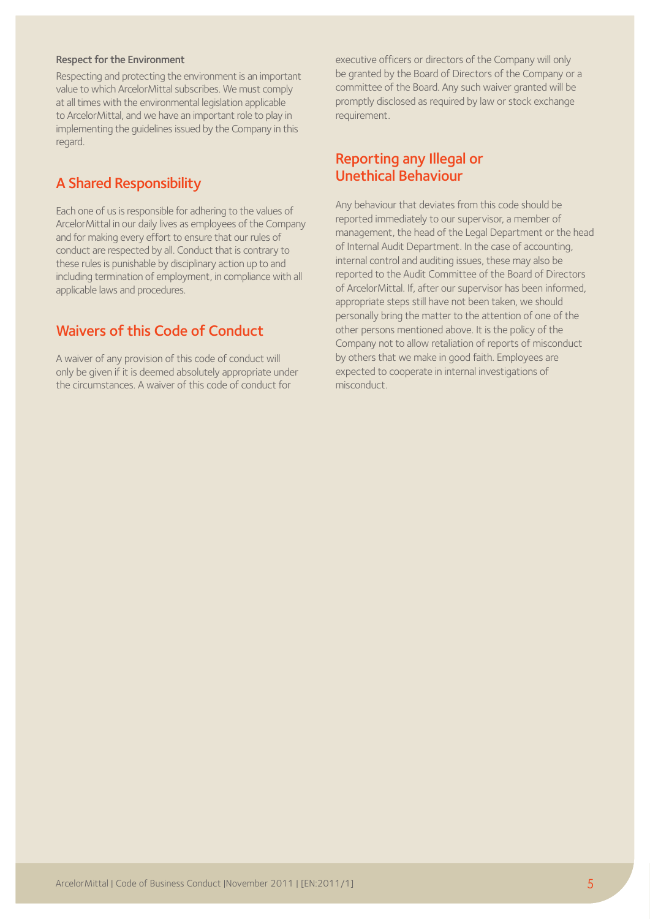#### Respect for the Environment

Respecting and protecting the environment is an important value to which ArcelorMittal subscribes. We must comply at all times with the environmental legislation applicable to ArcelorMittal, and we have an important role to play in implementing the guidelines issued by the Company in this regard.

# A Shared Responsibility

Each one of us is responsible for adhering to the values of ArcelorMittal in our daily lives as employees of the Company and for making every effort to ensure that our rules of conduct are respected by all. Conduct that is contrary to these rules is punishable by disciplinary action up to and including termination of employment, in compliance with all applicable laws and procedures.

# Waivers of this Code of Conduct

A waiver of any provision of this code of conduct will only be given if it is deemed absolutely appropriate under the circumstances. A waiver of this code of conduct for

executive officers or directors of the Company will only be granted by the Board of Directors of the Company or a committee of the Board. Any such waiver granted will be promptly disclosed as required by law or stock exchange requirement.

# Reporting any Illegal or Unethical Behaviour

Any behaviour that deviates from this code should be reported immediately to our supervisor, a member of management, the head of the Legal Department or the head of Internal Audit Department. In the case of accounting, internal control and auditing issues, these may also be reported to the Audit Committee of the Board of Directors of ArcelorMittal. If, after our supervisor has been informed, appropriate steps still have not been taken, we should personally bring the matter to the attention of one of the other persons mentioned above. It is the policy of the Company not to allow retaliation of reports of misconduct by others that we make in good faith. Employees are expected to cooperate in internal investigations of misconduct.